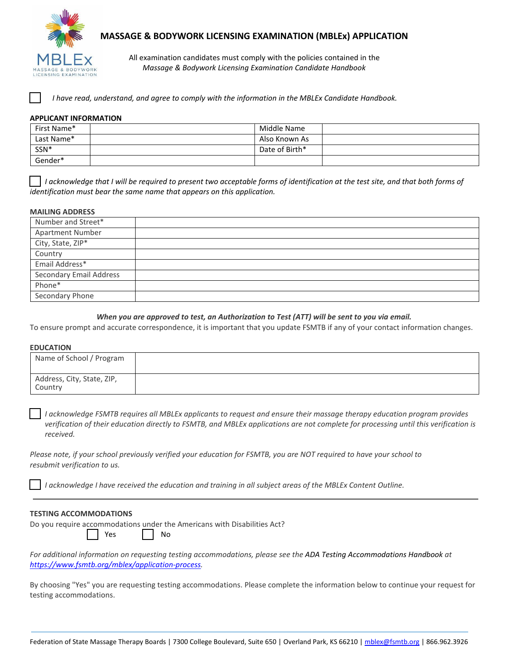

# **MASSAGE & BODYWORK LICENSING EXAMINATION (MBLEx) APPLICATION**

All examination candidates must comply with the policies contained in the *Massage & Bodywork Licensing Examination Candidate Handbook*

*I have read, understand, and agree to comply with the information in the MBLEx Candidate Handbook.*

## **APPLICANT INFORMATION**

| First Name* | Middle Name    |  |
|-------------|----------------|--|
| Last Name*  | Also Known As  |  |
| SSN*        | Date of Birth* |  |
| Gender*     |                |  |

*I acknowledge that I will be required to present two acceptable forms of identification at the test site, and that both forms of identification must bear the same name that appears on this application.*

#### **MAILING ADDRESS**

| <i></i>                 |  |
|-------------------------|--|
| Number and Street*      |  |
| <b>Apartment Number</b> |  |
| City, State, ZIP*       |  |
| Country                 |  |
| Email Address*          |  |
| Secondary Email Address |  |
| Phone*                  |  |
| Secondary Phone         |  |

### *When you are approved to test, an Authorization to Test (ATT) will be sent to you via email.*

To ensure prompt and accurate correspondence, it is important that you update FSMTB if any of your contact information changes.

### **EDUCATION**

| Name of School / Program              |  |
|---------------------------------------|--|
| Address, City, State, ZIP,<br>Country |  |

*I acknowledge FSMTB requires all MBLEx applicants to request and ensure their massage therapy education program provides verification of their education directly to FSMTB, and MBLEx applications are not complete for processing until this verification is received.*

*Please note, if your school previously verified your education for FSMTB, you are NOT required to have your school to resubmit verification to us.*

*I acknowledge I have received the education and training in all subject areas of the MBLEx Content Outline.*

### **TESTING ACCOMMODATIONS**

Do you require accommodations under the Americans with Disabilities Act?

Yes | No

*For additional information on requesting testing accommodations, please see the ADA Testing Accommodations Handbook at [https://www.fsmtb.org/mblex/application-process.](https://www.fsmtb.org/mblex/application-process)*

By choosing "Yes" you are requesting testing accommodations. Please complete the information below to continue your request for testing accommodations.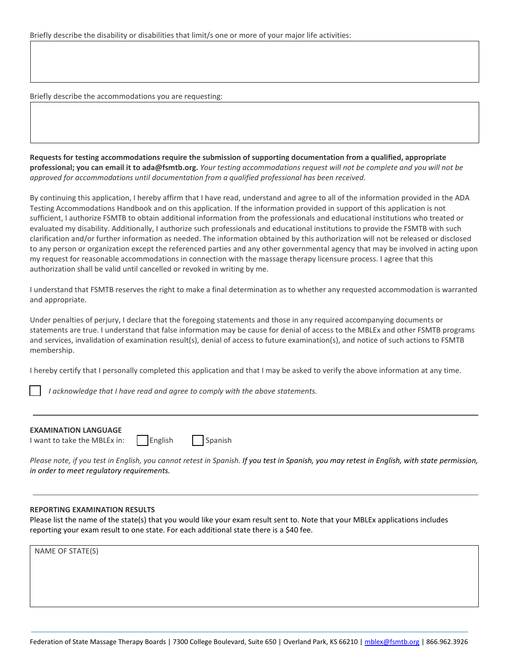Briefly describe the accommodations you are requesting:

**Requests for testing accommodations require the submission of supporting documentation from a qualified, appropriate professional; you can email it to [ada@fsmtb.org.](mailto:ada@fsmtb.org)** *Your testing accommodations request will not be complete and you will not be approved for accommodations until documentation from a qualified professional has been received.*

By continuing this application, I hereby affirm that I have read, understand and agree to all of the information provided in the ADA Testing Accommodations Handbook and on this application. If the information provided in support of this application is not sufficient, I authorize FSMTB to obtain additional information from the professionals and educational institutions who treated or evaluated my disability. Additionally, I authorize such professionals and educational institutions to provide the FSMTB with such clarification and/or further information as needed. The information obtained by this authorization will not be released or disclosed to any person or organization except the referenced parties and any other governmental agency that may be involved in acting upon my request for reasonable accommodations in connection with the massage therapy licensure process. I agree that this authorization shall be valid until cancelled or revoked in writing by me.

I understand that FSMTB reserves the right to make a final determination as to whether any requested accommodation is warranted and appropriate.

Under penalties of perjury, I declare that the foregoing statements and those in any required accompanying documents or statements are true. I understand that false information may be cause for denial of access to the MBLEx and other FSMTB programs and services, invalidation of examination result(s), denial of access to future examination(s), and notice of such actions to FSMTB membership.

I hereby certify that I personally completed this application and that I may be asked to verify the above information at any time.

*I acknowledge that I have read and agree to comply with the above statements.*

| <b>EXAMINATION LANGUAGE</b>                                |  |
|------------------------------------------------------------|--|
| I want to take the MBLEx in: $\Box$ English $\Box$ Spanish |  |

*Please note, if you test in English, you cannot retest in Spanish. If you test in Spanish, you may retest in English, with state permission, in order to meet regulatory requirements.*

### **REPORTING EXAMINATION RESULTS**

Please list the name of the state(s) that you would like your exam result sent to. Note that your MBLEx applications includes reporting your exam result to one state. For each additional state there is a \$40 fee.

NAME OF STATE(S)